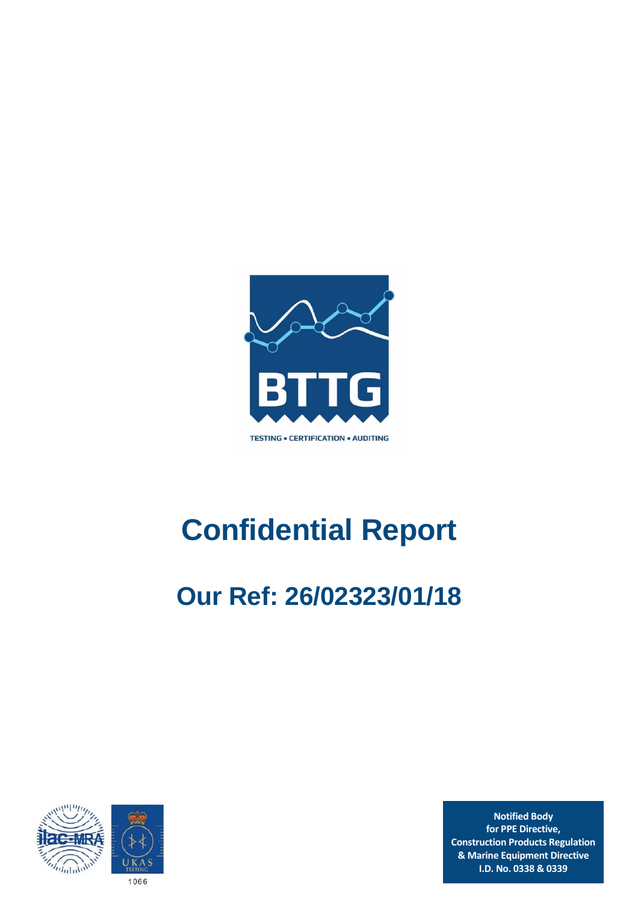

# **Confidential Report**

# **Our Ref: 26/02323/01/18**



**Notified Body for PPE Directive, Construction Products Regulation & Marine Equipment Directive I.D. No. 0338 & 0339**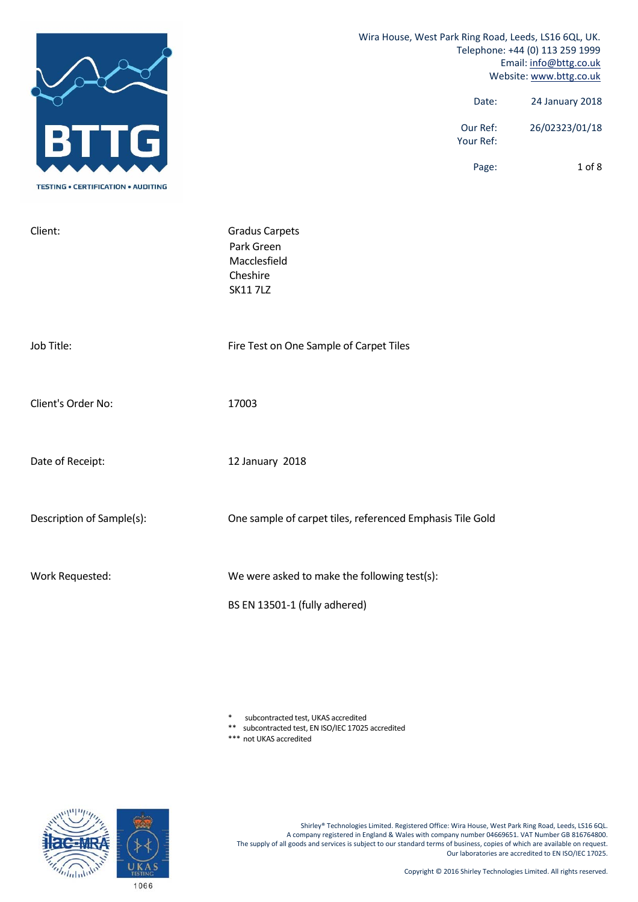|                                           | Wira House, West Park Ring Road, Leeds, LS16 6QL, UK.<br>Telephone: +44 (0) 113 259 1999<br>Email: info@bttg.co.uk<br>Website: www.bttg.co.uk |  |  |
|-------------------------------------------|-----------------------------------------------------------------------------------------------------------------------------------------------|--|--|
|                                           | 24 January 2018<br>Date:                                                                                                                      |  |  |
|                                           | Our Ref:<br>26/02323/01/18<br>Your Ref:                                                                                                       |  |  |
| <b>TESTING • CERTIFICATION • AUDITING</b> | 1 of 8<br>Page:                                                                                                                               |  |  |
| Client:                                   | <b>Gradus Carpets</b><br>Park Green<br>Macclesfield<br>Cheshire<br><b>SK11 7LZ</b>                                                            |  |  |
| Job Title:                                | Fire Test on One Sample of Carpet Tiles                                                                                                       |  |  |
| Client's Order No:                        | 17003                                                                                                                                         |  |  |
| Date of Receipt:                          | 12 January 2018                                                                                                                               |  |  |
| Description of Sample(s):                 | One sample of carpet tiles, referenced Emphasis Tile Gold                                                                                     |  |  |
| Work Requested:                           | We were asked to make the following test(s):                                                                                                  |  |  |
|                                           | BS EN 13501-1 (fully adhered)                                                                                                                 |  |  |

\* subcontracted test, UKAS accredited

\*\* subcontracted test, EN ISO/IEC 17025 accredited

\*\*\* not UKAS accredited



Shirley® Technologies Limited. Registered Office: Wira House, West Park Ring Road, Leeds, LS16 6QL. A company registered in England & Wales with company number 04669651. VAT Number GB 816764800. The supply of all goods and services is subject to our standard terms of business, copies of which are available on request. Our laboratories are accredited to EN ISO/IEC 17025.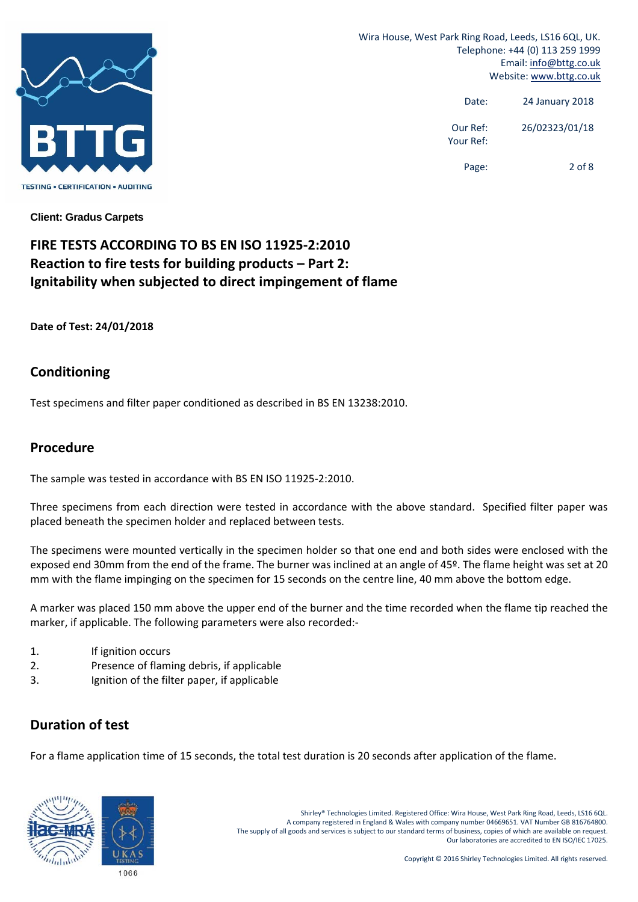

> Date: 24 January 2018 Our Ref: 26/02323/01/18 Your Ref:

Page: 2 of 8

**Client: Gradus Carpets** 

# **FIRE TESTS ACCORDING TO BS EN ISO 11925‐2:2010 Reaction to fire tests for building products – Part 2: Ignitability when subjected to direct impingement of flame**

**Date of Test: 24/01/2018**

#### **Conditioning**

Test specimens and filter paper conditioned as described in BS EN 13238:2010.

#### **Procedure**

The sample was tested in accordance with BS EN ISO 11925‐2:2010.

Three specimens from each direction were tested in accordance with the above standard. Specified filter paper was placed beneath the specimen holder and replaced between tests.

The specimens were mounted vertically in the specimen holder so that one end and both sides were enclosed with the exposed end 30mm from the end of the frame. The burner was inclined at an angle of 45º. The flame height was set at 20 mm with the flame impinging on the specimen for 15 seconds on the centre line, 40 mm above the bottom edge.

A marker was placed 150 mm above the upper end of the burner and the time recorded when the flame tip reached the marker, if applicable. The following parameters were also recorded:‐

- 1. If ignition occurs
- 2. Presence of flaming debris, if applicable
- 3. Ignition of the filter paper, if applicable

### **Duration of test**

For a flame application time of 15 seconds, the total test duration is 20 seconds after application of the flame.



Shirley® Technologies Limited. Registered Office: Wira House, West Park Ring Road, Leeds, LS16 6QL. A company registered in England & Wales with company number 04669651. VAT Number GB 816764800. The supply of all goods and services is subject to our standard terms of business, copies of which are available on request. Our laboratories are accredited to EN ISO/IEC 17025.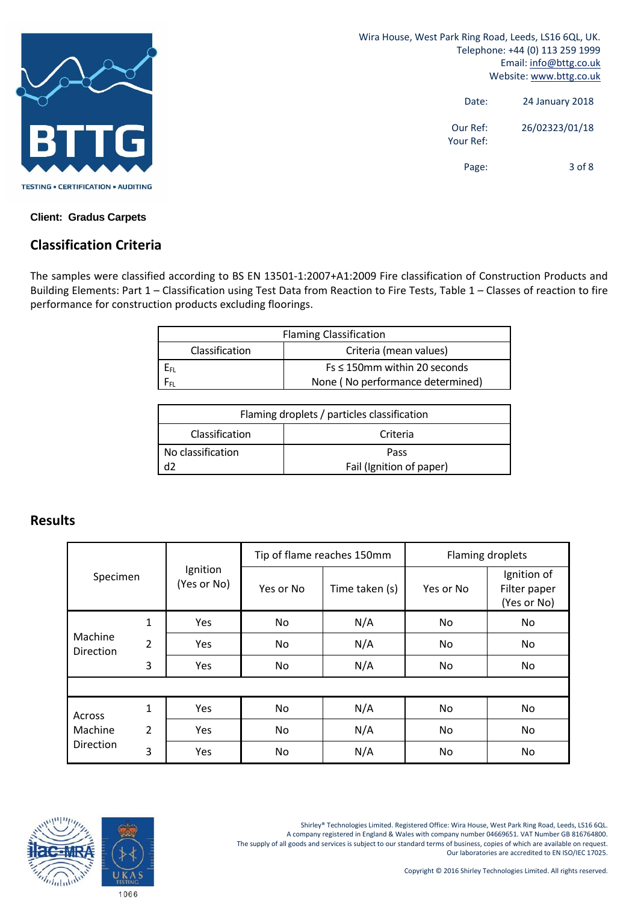

> Date: 24 January 2018 Our Ref: 26/02323/01/18 Your Ref: Page: 3 of 8

**Client: Gradus Carpets**

# **Classification Criteria**

The samples were classified according to BS EN 13501‐1:2007+A1:2009 Fire classification of Construction Products and Building Elements: Part 1 – Classification using Test Data from Reaction to Fire Tests, Table 1 – Classes of reaction to fire performance for construction products excluding floorings.

| <b>Flaming Classification</b>            |                                    |  |  |
|------------------------------------------|------------------------------------|--|--|
| Classification<br>Criteria (mean values) |                                    |  |  |
|                                          | $Fs \leq 150$ mm within 20 seconds |  |  |
| None (No performance determined)         |                                    |  |  |

| Flaming droplets / particles classification |      |  |  |
|---------------------------------------------|------|--|--|
| Classification<br>Criteria                  |      |  |  |
| No classification                           | Pass |  |  |
| d2<br>Fail (Ignition of paper)              |      |  |  |

### **Results**

| Specimen                       |   | Ignition<br>(Yes or No) |           | Tip of flame reaches 150mm | Flaming droplets |                                            |
|--------------------------------|---|-------------------------|-----------|----------------------------|------------------|--------------------------------------------|
|                                |   |                         | Yes or No | Time taken (s)             | Yes or No        | Ignition of<br>Filter paper<br>(Yes or No) |
|                                | 1 | Yes                     | <b>No</b> | N/A                        | No               | No                                         |
| Machine<br><b>Direction</b>    | 2 | Yes                     | No.       | N/A                        | No.              | No.                                        |
|                                | 3 | Yes                     | No.       | N/A                        | No.              | No.                                        |
|                                |   |                         |           |                            |                  |                                            |
| Across<br>Machine<br>Direction | 1 | Yes                     | No.       | N/A                        | No.              | No.                                        |
|                                | 2 | Yes                     | No.       | N/A                        | No.              | No                                         |
|                                | 3 | Yes                     | No        | N/A                        | No               | No                                         |





1066

Shirley® Technologies Limited. Registered Office: Wira House, West Park Ring Road, Leeds, LS16 6QL. A company registered in England & Wales with company number 04669651. VAT Number GB 816764800. The supply of all goods and services is subject to our standard terms of business, copies of which are available on request. Our laboratories are accredited to EN ISO/IEC 17025.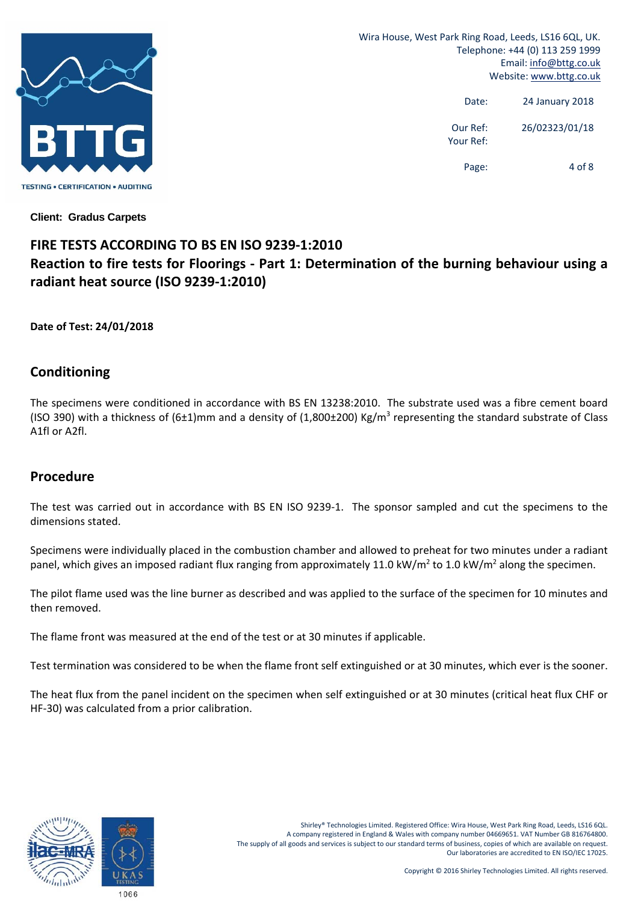

> Date: 24 January 2018 Our Ref: 26/02323/01/18 Your Ref:

> > Page: 4 of 8

**Client: Gradus Carpets**

# **FIRE TESTS ACCORDING TO BS EN ISO 9239‐1:2010 Reaction to fire tests for Floorings ‐ Part 1: Determination of the burning behaviour using a radiant heat source (ISO 9239‐1:2010)**

**Date of Test: 24/01/2018**

#### **Conditioning**

The specimens were conditioned in accordance with BS EN 13238:2010. The substrate used was a fibre cement board (ISO 390) with a thickness of  $(6\pm1)$ mm and a density of (1,800 $\pm$ 200) Kg/m<sup>3</sup> representing the standard substrate of Class A1fl or A2fl.

### **Procedure**

The test was carried out in accordance with BS EN ISO 9239-1. The sponsor sampled and cut the specimens to the dimensions stated.

Specimens were individually placed in the combustion chamber and allowed to preheat for two minutes under a radiant panel, which gives an imposed radiant flux ranging from approximately 11.0 kW/m<sup>2</sup> to 1.0 kW/m<sup>2</sup> along the specimen.

The pilot flame used was the line burner as described and was applied to the surface of the specimen for 10 minutes and then removed.

The flame front was measured at the end of the test or at 30 minutes if applicable.

Test termination was considered to be when the flame front self extinguished or at 30 minutes, which ever is the sooner.

The heat flux from the panel incident on the specimen when self extinguished or at 30 minutes (critical heat flux CHF or HF‐30) was calculated from a prior calibration.

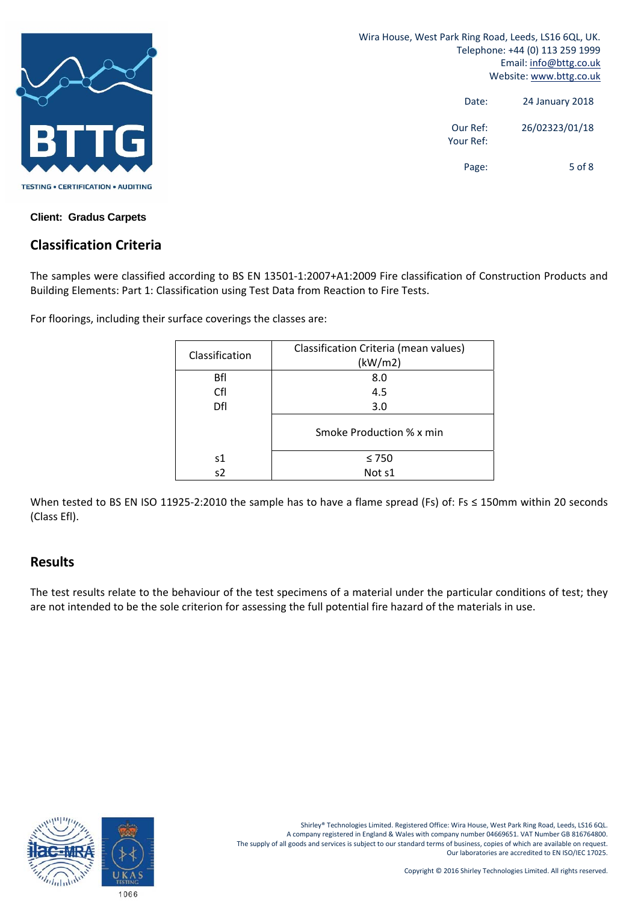

> Date: 24 January 2018 Our Ref: 26/02323/01/18 Your Ref: Page: 5 of 8

**Client: Gradus Carpets**

### **Classification Criteria**

The samples were classified according to BS EN 13501‐1:2007+A1:2009 Fire classification of Construction Products and Building Elements: Part 1: Classification using Test Data from Reaction to Fire Tests.

For floorings, including their surface coverings the classes are:

|                | Classification Criteria (mean values) |  |  |
|----------------|---------------------------------------|--|--|
| Classification | (kW/m2)                               |  |  |
| Bfl            | 8.0                                   |  |  |
| Cfl            | 4.5                                   |  |  |
| Dfl            | 3.0                                   |  |  |
|                | Smoke Production % x min              |  |  |
| s1             | $\leq 750$                            |  |  |
| s2             | Not s1                                |  |  |

When tested to BS EN ISO 11925-2:2010 the sample has to have a flame spread (Fs) of: Fs ≤ 150mm within 20 seconds (Class Efl).

#### **Results**

The test results relate to the behaviour of the test specimens of a material under the particular conditions of test; they are not intended to be the sole criterion for assessing the full potential fire hazard of the materials in use.

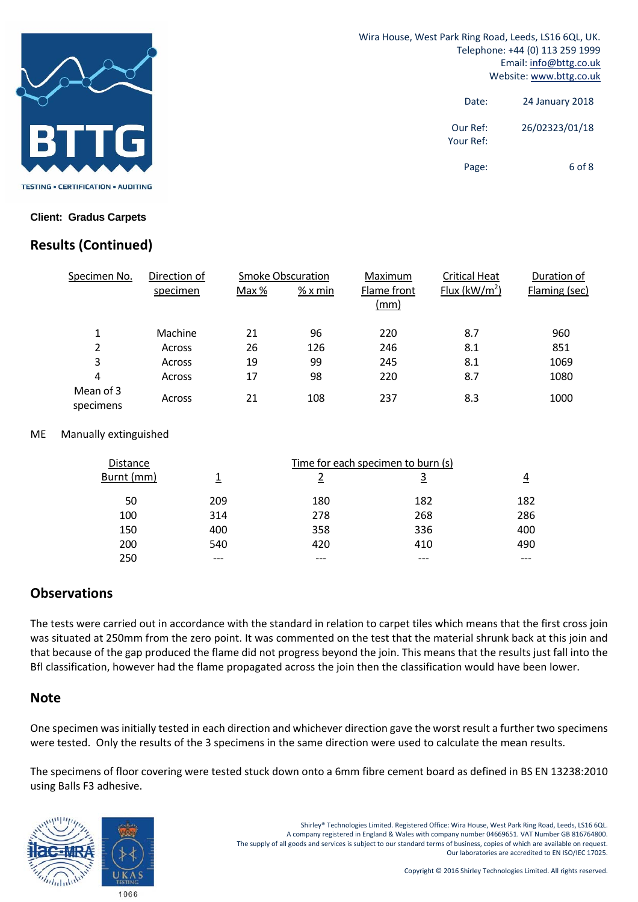

> Date: 24 January 2018 Our Ref: 26/02323/01/18 Your Ref: Page: 6 of 8

#### **Client: Gradus Carpets**

# **Results (Continued)**

| Specimen No.           | Direction of |       | <b>Smoke Obscuration</b> | Maximum             | <b>Critical Heat</b>     | Duration of   |
|------------------------|--------------|-------|--------------------------|---------------------|--------------------------|---------------|
|                        | specimen     | Max % | $%x$ min                 | Flame front<br>(mm) | Flux ( $\text{kW/m}^2$ ) | Flaming (sec) |
| 1                      | Machine      | 21    | 96                       | 220                 | 8.7                      | 960           |
| 2                      | Across       | 26    | 126                      | 246                 | 8.1                      | 851           |
| 3                      | Across       | 19    | 99                       | 245                 | 8.1                      | 1069          |
| 4                      | Across       | 17    | 98                       | 220                 | 8.7                      | 1080          |
| Mean of 3<br>specimens | Across       | 21    | 108                      | 237                 | 8.3                      | 1000          |

#### ME Manually extinguished

| Distance   | Time for each specimen to burn (s) |     |     |     |
|------------|------------------------------------|-----|-----|-----|
| Burnt (mm) |                                    |     |     | 4   |
| 50         | 209                                | 180 | 182 | 182 |
| 100        | 314                                | 278 | 268 | 286 |
| 150        | 400                                | 358 | 336 | 400 |
| 200        | 540                                | 420 | 410 | 490 |
| 250        |                                    |     |     |     |

### **Observations**

The tests were carried out in accordance with the standard in relation to carpet tiles which means that the first cross join was situated at 250mm from the zero point. It was commented on the test that the material shrunk back at this join and that because of the gap produced the flame did not progress beyond the join. This means that the results just fall into the Bfl classification, however had the flame propagated across the join then the classification would have been lower.

#### **Note**

One specimen was initially tested in each direction and whichever direction gave the worst result a further two specimens were tested. Only the results of the 3 specimens in the same direction were used to calculate the mean results.

The specimens of floor covering were tested stuck down onto a 6mm fibre cement board as defined in BS EN 13238:2010 using Balls F3 adhesive.

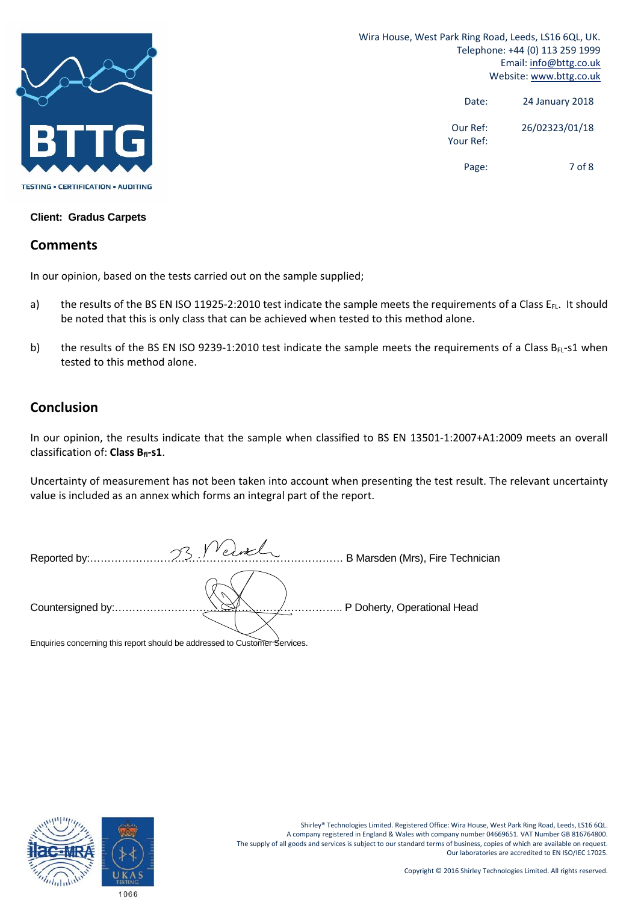

> Date: 24 January 2018 Our Ref: 26/02323/01/18 Your Ref:

> > Page: 7 of 8

**Client: Gradus Carpets**

#### **Comments**

In our opinion, based on the tests carried out on the sample supplied;

- a) the results of the BS EN ISO 11925-2:2010 test indicate the sample meets the requirements of a Class  $E_{FL}$ . It should be noted that this is only class that can be achieved when tested to this method alone.
- b) the results of the BS EN ISO 9239-1:2010 test indicate the sample meets the requirements of a Class B $_{FL}$ -s1 when tested to this method alone.

#### **Conclusion**

In our opinion, the results indicate that the sample when classified to BS EN 13501-1:2007+A1:2009 meets an overall classification of: **Class Bfl‐s1**.

Uncertainty of measurement has not been taken into account when presenting the test result. The relevant uncertainty value is included as an annex which forms an integral part of the report.

| Reported by:.     | VVelorel.<br>$\curvearrowright$ | B Marsden (Mrs), Fire Technician |
|-------------------|---------------------------------|----------------------------------|
| Countersigned by: | . <del>.</del>                  | P Doherty, Operational Head      |

Enquiries concerning this report should be addressed to Customer Services.